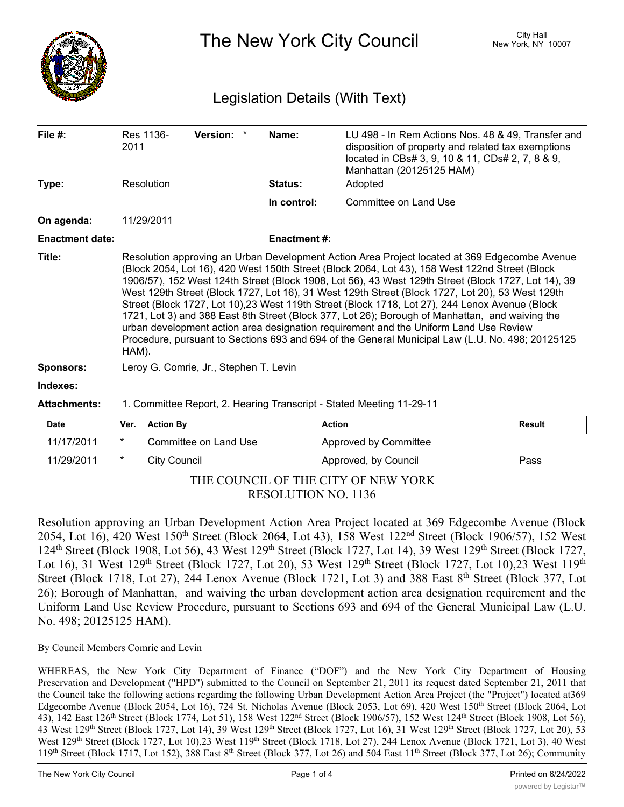

The New York City Council New York, NY 10007

## Legislation Details (With Text)

| File #:                | 2011                                                                                                                                                                                                                                                                                                                                                                                                                                                                                                                                                                                                                                                                                                                                                                                                                  | Res 1136-           | Version: *            | Name:          | LU 498 - In Rem Actions Nos. 48 & 49, Transfer and<br>disposition of property and related tax exemptions<br>located in CBs# 3, 9, 10 & 11, CDs# 2, 7, 8 & 9, |               |
|------------------------|-----------------------------------------------------------------------------------------------------------------------------------------------------------------------------------------------------------------------------------------------------------------------------------------------------------------------------------------------------------------------------------------------------------------------------------------------------------------------------------------------------------------------------------------------------------------------------------------------------------------------------------------------------------------------------------------------------------------------------------------------------------------------------------------------------------------------|---------------------|-----------------------|----------------|--------------------------------------------------------------------------------------------------------------------------------------------------------------|---------------|
|                        |                                                                                                                                                                                                                                                                                                                                                                                                                                                                                                                                                                                                                                                                                                                                                                                                                       |                     |                       |                | Manhattan (20125125 HAM)                                                                                                                                     |               |
| Type:                  |                                                                                                                                                                                                                                                                                                                                                                                                                                                                                                                                                                                                                                                                                                                                                                                                                       | Resolution          |                       | <b>Status:</b> | Adopted                                                                                                                                                      |               |
|                        |                                                                                                                                                                                                                                                                                                                                                                                                                                                                                                                                                                                                                                                                                                                                                                                                                       |                     |                       | In control:    | Committee on Land Use                                                                                                                                        |               |
| On agenda:             |                                                                                                                                                                                                                                                                                                                                                                                                                                                                                                                                                                                                                                                                                                                                                                                                                       | 11/29/2011          |                       |                |                                                                                                                                                              |               |
| <b>Enactment date:</b> | <b>Enactment#:</b>                                                                                                                                                                                                                                                                                                                                                                                                                                                                                                                                                                                                                                                                                                                                                                                                    |                     |                       |                |                                                                                                                                                              |               |
| Title:                 | Resolution approving an Urban Development Action Area Project located at 369 Edgecombe Avenue<br>(Block 2054, Lot 16), 420 West 150th Street (Block 2064, Lot 43), 158 West 122nd Street (Block<br>1906/57), 152 West 124th Street (Block 1908, Lot 56), 43 West 129th Street (Block 1727, Lot 14), 39<br>West 129th Street (Block 1727, Lot 16), 31 West 129th Street (Block 1727, Lot 20), 53 West 129th<br>Street (Block 1727, Lot 10),23 West 119th Street (Block 1718, Lot 27), 244 Lenox Avenue (Block<br>1721, Lot 3) and 388 East 8th Street (Block 377, Lot 26); Borough of Manhattan, and waiving the<br>urban development action area designation requirement and the Uniform Land Use Review<br>Procedure, pursuant to Sections 693 and 694 of the General Municipal Law (L.U. No. 498; 20125125<br>HAM). |                     |                       |                |                                                                                                                                                              |               |
| <b>Sponsors:</b>       | Leroy G. Comrie, Jr., Stephen T. Levin                                                                                                                                                                                                                                                                                                                                                                                                                                                                                                                                                                                                                                                                                                                                                                                |                     |                       |                |                                                                                                                                                              |               |
| Indexes:               |                                                                                                                                                                                                                                                                                                                                                                                                                                                                                                                                                                                                                                                                                                                                                                                                                       |                     |                       |                |                                                                                                                                                              |               |
| <b>Attachments:</b>    | 1. Committee Report, 2. Hearing Transcript - Stated Meeting 11-29-11                                                                                                                                                                                                                                                                                                                                                                                                                                                                                                                                                                                                                                                                                                                                                  |                     |                       |                |                                                                                                                                                              |               |
| Date                   | Ver.                                                                                                                                                                                                                                                                                                                                                                                                                                                                                                                                                                                                                                                                                                                                                                                                                  | <b>Action By</b>    |                       |                | <b>Action</b>                                                                                                                                                | <b>Result</b> |
| 11/17/2011             | $^\star$                                                                                                                                                                                                                                                                                                                                                                                                                                                                                                                                                                                                                                                                                                                                                                                                              |                     | Committee on Land Use |                | Approved by Committee                                                                                                                                        |               |
| 11/29/2011             | *                                                                                                                                                                                                                                                                                                                                                                                                                                                                                                                                                                                                                                                                                                                                                                                                                     | <b>City Council</b> |                       |                | Approved, by Council                                                                                                                                         | Pass          |

THE COUNCIL OF THE CITY OF NEW YORK RESOLUTION NO. 1136

Resolution approving an Urban Development Action Area Project located at 369 Edgecombe Avenue (Block 2054, Lot 16), 420 West 150<sup>th</sup> Street (Block 2064, Lot 43), 158 West 122<sup>nd</sup> Street (Block 1906/57), 152 West 124th Street (Block 1908, Lot 56), 43 West 129th Street (Block 1727, Lot 14), 39 West 129th Street (Block 1727, Lot 16), 31 West 129<sup>th</sup> Street (Block 1727, Lot 20), 53 West 129<sup>th</sup> Street (Block 1727, Lot 10), 23 West 119<sup>th</sup> Street (Block 1718, Lot 27), 244 Lenox Avenue (Block 1721, Lot 3) and 388 East 8<sup>th</sup> Street (Block 377, Lot 26); Borough of Manhattan, and waiving the urban development action area designation requirement and the Uniform Land Use Review Procedure, pursuant to Sections 693 and 694 of the General Municipal Law (L.U. No. 498; 20125125 HAM).

By Council Members Comrie and Levin

WHEREAS, the New York City Department of Finance ("DOF") and the New York City Department of Housing Preservation and Development ("HPD") submitted to the Council on September 21, 2011 its request dated September 21, 2011 that the Council take the following actions regarding the following Urban Development Action Area Project (the "Project") located at369 Edgecombe Avenue (Block 2054, Lot 16), 724 St. Nicholas Avenue (Block 2053, Lot 69), 420 West 150th Street (Block 2064, Lot 43), 142 East 126<sup>th</sup> Street (Block 1774, Lot 51), 158 West 122<sup>nd</sup> Street (Block 1906/57), 152 West 124<sup>th</sup> Street (Block 1908, Lot 56), 43 West 129<sup>th</sup> Street (Block 1727, Lot 14), 39 West 129<sup>th</sup> Street (Block 1727, Lot 16), 31 West 129<sup>th</sup> Street (Block 1727, Lot 20), 53 West 129<sup>th</sup> Street (Block 1727, Lot 10),23 West 119<sup>th</sup> Street (Block 1718, Lot 27), 244 Lenox Avenue (Block 1721, Lot 3), 40 West 119<sup>th</sup> Street (Block 1717, Lot 152), 388 East 8<sup>th</sup> Street (Block 377, Lot 26) and 504 East 11<sup>th</sup> Street (Block 377, Lot 26); Community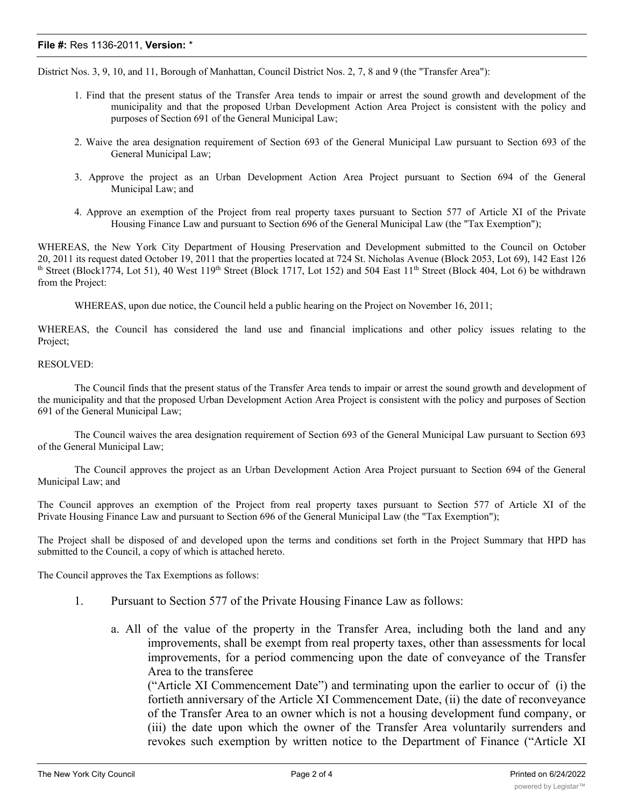## **File #:** Res 1136-2011, **Version:** \*

District Nos. 3, 9, 10, and 11, Borough of Manhattan, Council District Nos. 2, 7, 8 and 9 (the "Transfer Area"):

- 1. Find that the present status of the Transfer Area tends to impair or arrest the sound growth and development of the municipality and that the proposed Urban Development Action Area Project is consistent with the policy and purposes of Section 691 of the General Municipal Law;
- 2. Waive the area designation requirement of Section 693 of the General Municipal Law pursuant to Section 693 of the General Municipal Law;
- 3. Approve the project as an Urban Development Action Area Project pursuant to Section 694 of the General Municipal Law; and
- 4. Approve an exemption of the Project from real property taxes pursuant to Section 577 of Article XI of the Private Housing Finance Law and pursuant to Section 696 of the General Municipal Law (the "Tax Exemption");

WHEREAS, the New York City Department of Housing Preservation and Development submitted to the Council on October 20, 2011 its request dated October 19, 2011 that the properties located at 724 St. Nicholas Avenue (Block 2053, Lot 69), 142 East 126 th Street (Block1774, Lot 51), 40 West  $119<sup>th</sup>$  Street (Block 1717, Lot 152) and 504 East  $11<sup>th</sup>$  Street (Block 404, Lot 6) be withdrawn from the Project:

WHEREAS, upon due notice, the Council held a public hearing on the Project on November 16, 2011;

WHEREAS, the Council has considered the land use and financial implications and other policy issues relating to the Project;

## RESOLVED:

The Council finds that the present status of the Transfer Area tends to impair or arrest the sound growth and development of the municipality and that the proposed Urban Development Action Area Project is consistent with the policy and purposes of Section 691 of the General Municipal Law;

The Council waives the area designation requirement of Section 693 of the General Municipal Law pursuant to Section 693 of the General Municipal Law;

The Council approves the project as an Urban Development Action Area Project pursuant to Section 694 of the General Municipal Law; and

The Council approves an exemption of the Project from real property taxes pursuant to Section 577 of Article XI of the Private Housing Finance Law and pursuant to Section 696 of the General Municipal Law (the "Tax Exemption");

The Project shall be disposed of and developed upon the terms and conditions set forth in the Project Summary that HPD has submitted to the Council, a copy of which is attached hereto.

The Council approves the Tax Exemptions as follows:

- 1. Pursuant to Section 577 of the Private Housing Finance Law as follows:
	- a. All of the value of the property in the Transfer Area, including both the land and any improvements, shall be exempt from real property taxes, other than assessments for local improvements, for a period commencing upon the date of conveyance of the Transfer Area to the transferee

("Article XI Commencement Date") and terminating upon the earlier to occur of (i) the fortieth anniversary of the Article XI Commencement Date, (ii) the date of reconveyance of the Transfer Area to an owner which is not a housing development fund company, or (iii) the date upon which the owner of the Transfer Area voluntarily surrenders and revokes such exemption by written notice to the Department of Finance ("Article XI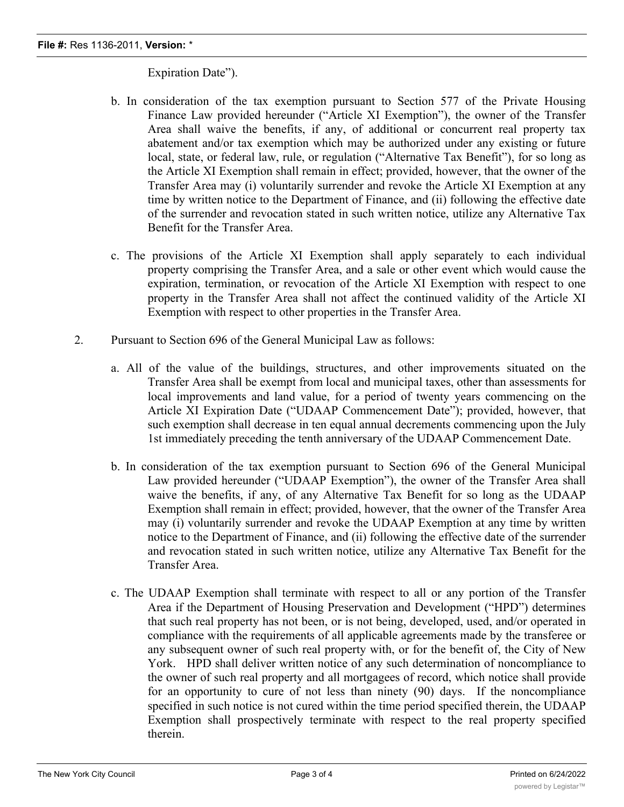## Expiration Date").

- b. In consideration of the tax exemption pursuant to Section 577 of the Private Housing Finance Law provided hereunder ("Article XI Exemption"), the owner of the Transfer Area shall waive the benefits, if any, of additional or concurrent real property tax abatement and/or tax exemption which may be authorized under any existing or future local, state, or federal law, rule, or regulation ("Alternative Tax Benefit"), for so long as the Article XI Exemption shall remain in effect; provided, however, that the owner of the Transfer Area may (i) voluntarily surrender and revoke the Article XI Exemption at any time by written notice to the Department of Finance, and (ii) following the effective date of the surrender and revocation stated in such written notice, utilize any Alternative Tax Benefit for the Transfer Area.
- c. The provisions of the Article XI Exemption shall apply separately to each individual property comprising the Transfer Area, and a sale or other event which would cause the expiration, termination, or revocation of the Article XI Exemption with respect to one property in the Transfer Area shall not affect the continued validity of the Article XI Exemption with respect to other properties in the Transfer Area.
- 2. Pursuant to Section 696 of the General Municipal Law as follows:
	- a. All of the value of the buildings, structures, and other improvements situated on the Transfer Area shall be exempt from local and municipal taxes, other than assessments for local improvements and land value, for a period of twenty years commencing on the Article XI Expiration Date ("UDAAP Commencement Date"); provided, however, that such exemption shall decrease in ten equal annual decrements commencing upon the July 1st immediately preceding the tenth anniversary of the UDAAP Commencement Date.
	- b. In consideration of the tax exemption pursuant to Section 696 of the General Municipal Law provided hereunder ("UDAAP Exemption"), the owner of the Transfer Area shall waive the benefits, if any, of any Alternative Tax Benefit for so long as the UDAAP Exemption shall remain in effect; provided, however, that the owner of the Transfer Area may (i) voluntarily surrender and revoke the UDAAP Exemption at any time by written notice to the Department of Finance, and (ii) following the effective date of the surrender and revocation stated in such written notice, utilize any Alternative Tax Benefit for the Transfer Area.
	- c. The UDAAP Exemption shall terminate with respect to all or any portion of the Transfer Area if the Department of Housing Preservation and Development ("HPD") determines that such real property has not been, or is not being, developed, used, and/or operated in compliance with the requirements of all applicable agreements made by the transferee or any subsequent owner of such real property with, or for the benefit of, the City of New York. HPD shall deliver written notice of any such determination of noncompliance to the owner of such real property and all mortgagees of record, which notice shall provide for an opportunity to cure of not less than ninety (90) days. If the noncompliance specified in such notice is not cured within the time period specified therein, the UDAAP Exemption shall prospectively terminate with respect to the real property specified therein.

d. Note that the contrary, the contrary, the combined duration to the combined duration of the  $\alpha$